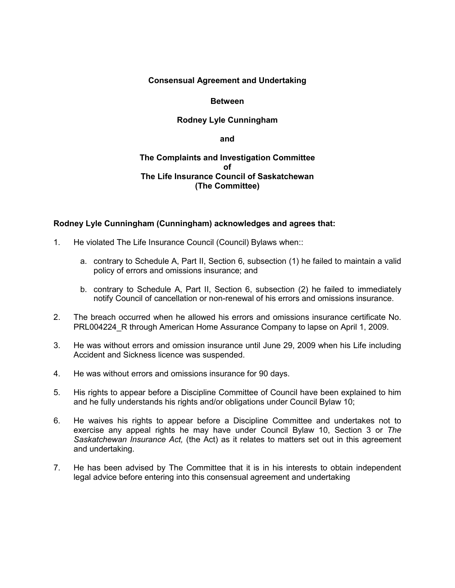#### **Consensual Agreement and Undertaking**

#### **Between**

### **Rodney Lyle Cunningham**

**and**

#### **The Complaints and Investigation Committee of The Life Insurance Council of Saskatchewan (The Committee)**

#### **Rodney Lyle Cunningham (Cunningham) acknowledges and agrees that:**

- 1. He violated The Life Insurance Council (Council) Bylaws when::
	- a. contrary to Schedule A, Part II, Section 6, subsection (1) he failed to maintain a valid policy of errors and omissions insurance; and
	- b. contrary to Schedule A, Part II, Section 6, subsection (2) he failed to immediately notify Council of cancellation or non-renewal of his errors and omissions insurance.
- 2. The breach occurred when he allowed his errors and omissions insurance certificate No. PRL004224 R through American Home Assurance Company to lapse on April 1, 2009.
- 3. He was without errors and omission insurance until June 29, 2009 when his Life including Accident and Sickness licence was suspended.
- 4. He was without errors and omissions insurance for 90 days.
- 5. His rights to appear before a Discipline Committee of Council have been explained to him and he fully understands his rights and/or obligations under Council Bylaw 10;
- 6. He waives his rights to appear before a Discipline Committee and undertakes not to exercise any appeal rights he may have under Council Bylaw 10, Section 3 or *The Saskatchewan Insurance Act,* (the Act) as it relates to matters set out in this agreement and undertaking.
- 7. He has been advised by The Committee that it is in his interests to obtain independent legal advice before entering into this consensual agreement and undertaking